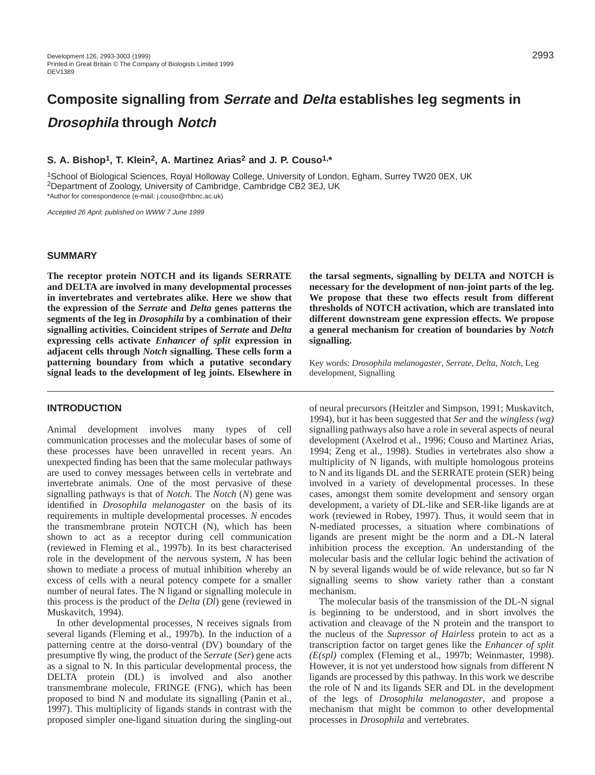# **Composite signalling from Serrate and Delta establishes leg segments in Drosophila through Notch**

# **S. A. Bishop1, T. Klein2, A. Martinez Arias2 and J. P. Couso1,\***

1School of Biological Sciences, Royal Holloway College, University of London, Egham, Surrey TW20 0EX, UK 2Department of Zoology, University of Cambridge, Cambridge CB2 3EJ, UK \*Author for correspondence (e-mail: j.couso@rhbnc.ac.uk)

Accepted 26 April; published on WWW 7 June 1999

#### **SUMMARY**

**The receptor protein NOTCH and its ligands SERRATE and DELTA are involved in many developmental processes in invertebrates and vertebrates alike. Here we show that the expression of the** *Serrate* **and** *Delta* **genes patterns the segments of the leg in** *Drosophila* **by a combination of their signalling activities. Coincident stripes of** *Serrate* **and** *Delta* **expressing cells activate** *Enhancer of split* **expression in adjacent cells through** *Notch* **signalling. These cells form a patterning boundary from which a putative secondary signal leads to the development of leg joints. Elsewhere in**

## **INTRODUCTION**

Animal development involves many types of cell communication processes and the molecular bases of some of these processes have been unravelled in recent years. An unexpected finding has been that the same molecular pathways are used to convey messages between cells in vertebrate and invertebrate animals. One of the most pervasive of these signalling pathways is that of *Notch*. The *Notch* (*N*) gene was identified in *Drosophila melanogaster* on the basis of its requirements in multiple developmental processes. *N* encodes the transmembrane protein NOTCH (N), which has been shown to act as a receptor during cell communication (reviewed in Fleming et al., 1997b). In its best characterised role in the development of the nervous system, *N* has been shown to mediate a process of mutual inhibition whereby an excess of cells with a neural potency compete for a smaller number of neural fates. The N ligand or signalling molecule in this process is the product of the *Delta* (*Dl*) gene (reviewed in Muskavitch, 1994).

In other developmental processes, N receives signals from several ligands (Fleming et al., 1997b). In the induction of a patterning centre at the dorso-ventral (DV) boundary of the presumptive fly wing, the product of the *Serrate* (*Ser*) gene acts as a signal to N. In this particular developmental process, the DELTA protein (DL) is involved and also another transmembrane molecule, FRINGE (FNG), which has been proposed to bind N and modulate its signalling (Panin et al., 1997). This multiplicity of ligands stands in contrast with the proposed simpler one-ligand situation during the singling-out

**the tarsal segments, signalling by DELTA and NOTCH is necessary for the development of non-joint parts of the leg. We propose that these two effects result from different thresholds of NOTCH activation, which are translated into different downstream gene expression effects. We propose a general mechanism for creation of boundaries by** *Notch* **signalling.** 

Key words: *Drosophila melanogaster*, *Serrate*, *Delta*, *Notch*, Leg development, Signalling

of neural precursors (Heitzler and Simpson, 1991; Muskavitch, 1994), but it has been suggested that *Ser* and the *wingless (wg)* signalling pathways also have a role in several aspects of neural development (Axelrod et al., 1996; Couso and Martinez Arias, 1994; Zeng et al., 1998). Studies in vertebrates also show a multiplicity of N ligands, with multiple homologous proteins to N and its ligands DL and the SERRATE protein (SER) being involved in a variety of developmental processes. In these cases, amongst them somite development and sensory organ development, a variety of DL-like and SER-like ligands are at work (reviewed in Robey, 1997). Thus, it would seem that in N-mediated processes, a situation where combinations of ligands are present might be the norm and a DL-N lateral inhibition process the exception. An understanding of the molecular basis and the cellular logic behind the activation of N by several ligands would be of wide relevance, but so far N signalling seems to show variety rather than a constant mechanism.

The molecular basis of the transmission of the DL-N signal is beginning to be understood, and in short involves the activation and cleavage of the N protein and the transport to the nucleus of the *Supressor of Hairless* protein to act as a transcription factor on target genes like the *Enhancer of split (E(spl)* complex (Fleming et al., 1997b; Weinmaster, 1998). However, it is not yet understood how signals from different N ligands are processed by this pathway. In this work we describe the role of N and its ligands SER and DL in the development of the legs of *Drosophila melanogaster*, and propose a mechanism that might be common to other developmental processes in *Drosophila* and vertebrates.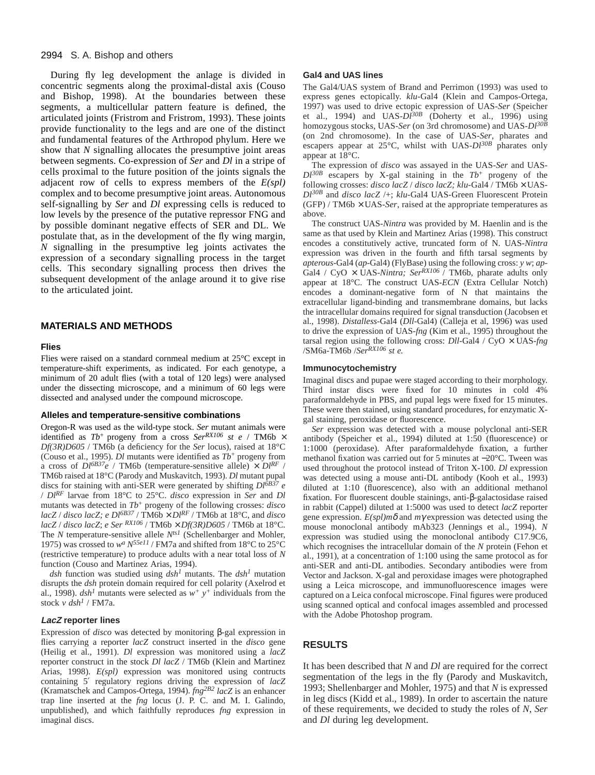#### 2994 S. A. Bishop and others

During fly leg development the anlage is divided in concentric segments along the proximal-distal axis (Couso and Bishop, 1998). At the boundaries between these segments, a multicellular pattern feature is defined, the articulated joints (Fristrom and Fristrom, 1993). These joints provide functionality to the legs and are one of the distinct and fundamental features of the Arthropod phylum. Here we show that *N* signalling allocates the presumptive joint areas between segments. Co-expression of *Ser* and *Dl* in a stripe of cells proximal to the future position of the joints signals the adjacent row of cells to express members of the *E(spl)* complex and to become presumptive joint areas. Autonomous self-signalling by *Ser* and *Dl* expressing cells is reduced to low levels by the presence of the putative repressor FNG and by possible dominant negative effects of SER and DL. We postulate that, as in the development of the fly wing margin, *N* signalling in the presumptive leg joints activates the expression of a secondary signalling process in the target cells. This secondary signalling process then drives the subsequent development of the anlage around it to give rise to the articulated joint.

## **MATERIALS AND METHODS**

#### **Flies**

Flies were raised on a standard cornmeal medium at 25°C except in temperature-shift experiments, as indicated. For each genotype, a minimum of 20 adult flies (with a total of 120 legs) were analysed under the dissecting microscope, and a minimum of 60 legs were dissected and analysed under the compound microscope.

#### **Alleles and temperature-sensitive combinations**

Oregon-R was used as the wild-type stock. *Ser* mutant animals were identified as  $Tb^+$  progeny from a cross *Ser*<sup>RX106</sup> *st e* / TM6b  $\times$ *Df(3R)D605* / TM6b (a deficiency for the *Ser* locus), raised at 18°C (Couso et al., 1995). *Dl* mutants were identified as  $Tb^+$  progeny from a cross of  $DI^{6B37}e$  / TM6b (temperature-sensitive allele)  $\times DI^{RF}$  / TM6b raised at 18°C (Parody and Muskavitch, 1993). *Dl* mutant pupal discs for staining with anti-SER were generated by shifting  $DI^{0B37}$  *e* / *DlRF* larvae from 18°C to 25°C. *disco* expression in *Ser* and *Dl* mutants was detected in *Tb*<sup>+</sup> progeny of the following crosses: *disco*  $lacZ/disco~lacZ$ ; *e Dl*<sup>6B37</sup> / TM6b  $\times$  *Dl*<sup>RF</sup> / TM6b at 18°C, and *disco lacZ* / *disco lacZ*; *e Ser RX106* / TM6b × *Df(3R)D605* / TM6b at 18°C. The *N* temperature-sensitive allele *Nts1* (Schellenbarger and Mohler, 1975) was crossed to *wa N55e11* / FM7a and shifted from 18°C to 25°C (restrictive temperature) to produce adults with a near total loss of *N* function (Couso and Martinez Arias, 1994).

*dsh* function was studied using *dsh1* mutants. The *dsh1* mutation disrupts the *dsh* protein domain required for cell polarity (Axelrod et al., 1998).  $dsh^1$  mutants were selected as  $w^+$   $y^+$  individuals from the stock *v dsh<sup>1</sup>* / FM7a.

#### **LacZ reporter lines**

Expression of *disco* was detected by monitoring β-gal expression in flies carrying a reporter *lacZ* construct inserted in the *disco* gene (Heilig et al., 1991). *Dl* expression was monitored using a *lacZ* reporter construct in the stock *Dl lacZ* / TM6b (Klein and Martinez Arias, 1998). *E(spl)* expression was monitored using contructs containing 5′ regulatory regions driving the expression of *lacZ* (Kramatschek and Campos-Ortega, 1994). *fng2B2 lacZ* is an enhancer trap line inserted at the *fng* locus (J. P. C. and M. I. Galindo, unpublished), and which faithfully reproduces *fng* expression in imaginal discs.

#### **Gal4 and UAS lines**

The Gal4/UAS system of Brand and Perrimon (1993) was used to express genes ectopically. *klu-*Gal4 (Klein and Campos-Ortega, 1997) was used to drive ectopic expression of UAS-*Ser* (Speicher et al., 1994) and UAS- $Dl^{30B}$  (Doherty et al., 1996) using homozygous stocks, UAS-*Ser* (on 3rd chromosome) and UAS-*Dl30B* (on 2nd chromosome). In the case of UAS-*Ser*, pharates and escapers appear at 25°C, whilst with UAS- $DI^{30B}$  pharates only appear at 18°C.

The expression of *disco* was assayed in the UAS-*Ser* and UAS-*Dl30B* escapers by X-gal staining in the *Tb*<sup>+</sup> progeny of the following crosses: *disco lacZ* / *disco lacZ; klu-*Gal4 / TM6b × UAS-*Dl30B* and *disco lacZ* /+; *klu-*Gal4 UAS-Green Fluorescent Protein  $(GFP)$  / TM6b  $\times$  UAS-*Ser*, raised at the appropriate temperatures as above.

The construct UAS-*Nintra* was provided by M. Haenlin and is the same as that used by Klein and Martinez Arias (1998). This construct encodes a constitutively active, truncated form of N. UAS-*Nintra* expression was driven in the fourth and fifth tarsal segments by *apterous-*Gal4 (*ap-*Gal4) (FlyBase) using the following cross: *y w*; *ap-*Gal4 / CyO  $\times$  UAS-*Nintra*; Ser<sup>RX106</sup> / TM6b, pharate adults only appear at 18°C. The construct UAS-*ECN* (Extra Cellular Notch) encodes a dominant-negative form of N that maintains the extracellular ligand-binding and transmembrane domains, but lacks the intracellular domains required for signal transduction (Jacobsen et al., 1998). *Distalless-*Gal4 (*Dll-*Gal4) (Calleja et al, 1996) was used to drive the expression of UAS-*fng* (Kim et al., 1995) throughout the tarsal region using the following cross: *Dll-*Gal4 / CyO × UAS-*fng* /SM6a-TM6b /*SerRX106 st e.*

#### **Immunocytochemistry**

Imaginal discs and pupae were staged according to their morphology. Third instar discs were fixed for 10 minutes in cold 4% paraformaldehyde in PBS, and pupal legs were fixed for 15 minutes. These were then stained, using standard procedures, for enzymatic Xgal staining, peroxidase or fluorescence.

*Ser* expression was detected with a mouse polyclonal anti-SER antibody (Speicher et al., 1994) diluted at 1:50 (fluorescence) or 1:1000 (peroxidase). After paraformaldehyde fixation, a further methanol fixation was carried out for 5 minutes at −20°C. Tween was used throughout the protocol instead of Triton X-100. *Dl* expression was detected using a mouse anti-DL antibody (Kooh et al., 1993) diluted at 1:10 (fluorescence), also with an additional methanol fixation. For fluorescent double stainings, anti-β-galactosidase raised in rabbit (Cappel) diluted at 1:5000 was used to detect *lacZ* reporter gene expression. *E(spl)m*δ and *m*γ expression was detected using the mouse monoclonal antibody mAb323 (Jennings et al., 1994). *N* expression was studied using the monoclonal antibody C17.9C6, which recognises the intracellular domain of the *N* protein (Fehon et al., 1991), at a concentration of 1:100 using the same protocol as for anti-SER and anti-DL antibodies. Secondary antibodies were from Vector and Jackson. X-gal and peroxidase images were photographed using a Leica microscope, and immunofluorescence images were captured on a Leica confocal microscope. Final figures were produced using scanned optical and confocal images assembled and processed with the Adobe Photoshop program.

#### **RESULTS**

It has been described that *N* and *Dl* are required for the correct segmentation of the legs in the fly (Parody and Muskavitch, 1993; Shellenbarger and Mohler, 1975) and that *N* is expressed in leg discs (Kidd et al., 1989). In order to ascertain the nature of these requirements, we decided to study the roles of *N*, *Ser* and *Dl* during leg development.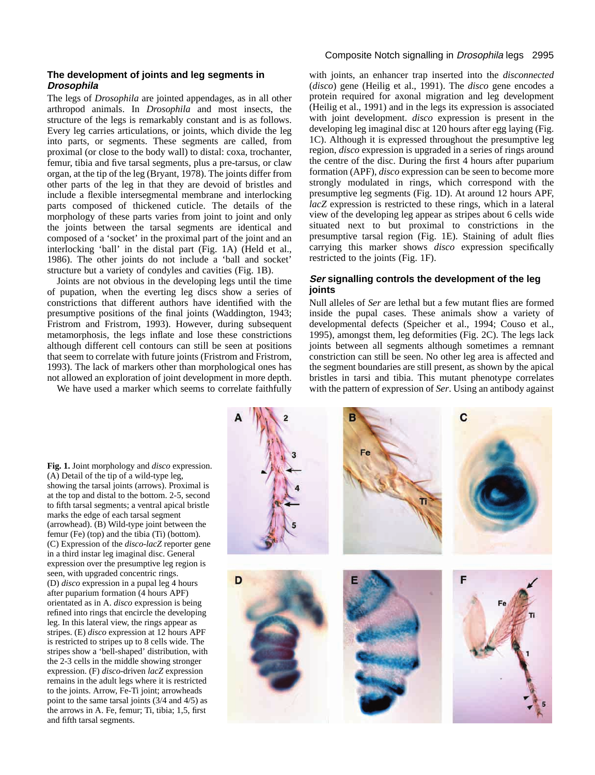### **The development of joints and leg segments in Drosophila**

The legs of *Drosophila* are jointed appendages, as in all other arthropod animals. In *Drosophila* and most insects, the structure of the legs is remarkably constant and is as follows. Every leg carries articulations, or joints, which divide the leg into parts, or segments. These segments are called, from proximal (or close to the body wall) to distal: coxa, trochanter, femur, tibia and five tarsal segments, plus a pre-tarsus, or claw organ, at the tip of the leg (Bryant, 1978). The joints differ from other parts of the leg in that they are devoid of bristles and include a flexible intersegmental membrane and interlocking parts composed of thickened cuticle. The details of the morphology of these parts varies from joint to joint and only the joints between the tarsal segments are identical and composed of a 'socket' in the proximal part of the joint and an interlocking 'ball' in the distal part (Fig. 1A) (Held et al., 1986). The other joints do not include a 'ball and socket' structure but a variety of condyles and cavities (Fig. 1B).

Joints are not obvious in the developing legs until the time of pupation, when the everting leg discs show a series of constrictions that different authors have identified with the presumptive positions of the final joints (Waddington, 1943; Fristrom and Fristrom, 1993). However, during subsequent metamorphosis, the legs inflate and lose these constrictions although different cell contours can still be seen at positions that seem to correlate with future joints (Fristrom and Fristrom, 1993). The lack of markers other than morphological ones has not allowed an exploration of joint development in more depth.

We have used a marker which seems to correlate faithfully

## Composite Notch signalling in *Drosophila* legs 2995

with joints, an enhancer trap inserted into the *disconnected* (*disco*) gene (Heilig et al., 1991). The *disco* gene encodes a protein required for axonal migration and leg development (Heilig et al., 1991) and in the legs its expression is associated with joint development. *disco* expression is present in the developing leg imaginal disc at 120 hours after egg laying (Fig. 1C). Although it is expressed throughout the presumptive leg region, *disco* expression is upgraded in a series of rings around the centre of the disc. During the first 4 hours after puparium formation (APF), *disco* expression can be seen to become more strongly modulated in rings, which correspond with the presumptive leg segments (Fig. 1D). At around 12 hours APF, *lacZ* expression is restricted to these rings, which in a lateral view of the developing leg appear as stripes about 6 cells wide situated next to but proximal to constrictions in the presumptive tarsal region (Fig. 1E). Staining of adult flies carrying this marker shows *disco* expression specifically restricted to the joints (Fig. 1F).

# **Ser signalling controls the development of the leg joints**

Null alleles of *Ser* are lethal but a few mutant flies are formed inside the pupal cases. These animals show a variety of developmental defects (Speicher et al., 1994; Couso et al., 1995), amongst them, leg deformities (Fig. 2C). The legs lack joints between all segments although sometimes a remnant constriction can still be seen. No other leg area is affected and the segment boundaries are still present, as shown by the apical bristles in tarsi and tibia. This mutant phenotype correlates with the pattern of expression of *Ser*. Using an antibody against

**Fig. 1.** Joint morphology and *disco* expression. (A) Detail of the tip of a wild-type leg, showing the tarsal joints (arrows). Proximal is at the top and distal to the bottom. 2-5, second to fifth tarsal segments; a ventral apical bristle marks the edge of each tarsal segment (arrowhead). (B) Wild-type joint between the femur (Fe) (top) and the tibia (Ti) (bottom). (C) Expression of the *disco-lacZ* reporter gene in a third instar leg imaginal disc. General expression over the presumptive leg region is seen, with upgraded concentric rings. (D) *disco* expression in a pupal leg 4 hours after puparium formation (4 hours APF) orientated as in A. *disco* expression is being refined into rings that encircle the developing leg. In this lateral view, the rings appear as stripes. (E) *disco* expression at 12 hours APF is restricted to stripes up to 8 cells wide. The stripes show a 'bell-shaped' distribution, with the 2-3 cells in the middle showing stronger expression. (F) *disco*-driven *lacZ* expression remains in the adult legs where it is restricted to the joints. Arrow, Fe-Ti joint; arrowheads point to the same tarsal joints (3/4 and 4/5) as the arrows in A. Fe, femur; Ti, tibia; 1,5, first and fifth tarsal segments.

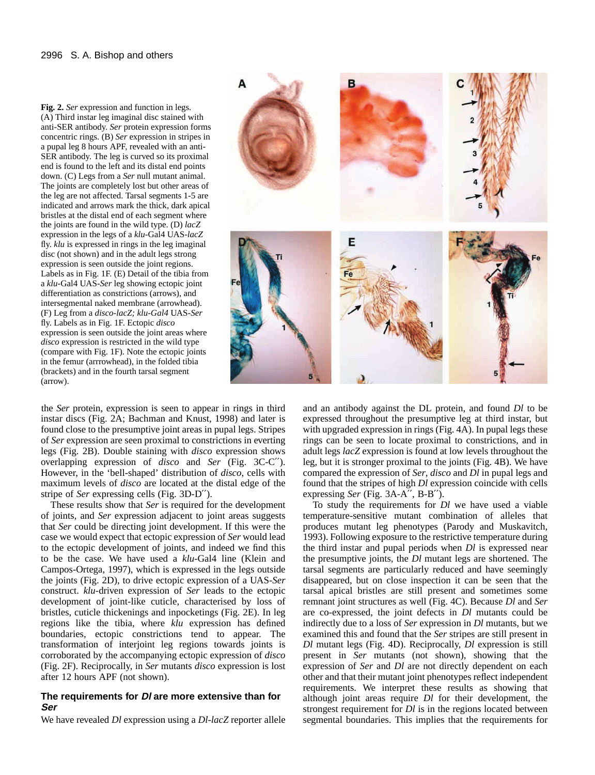**Fig. 2.** *Ser* expression and function in legs. (A) Third instar leg imaginal disc stained with anti-SER antibody. *Ser* protein expression forms concentric rings. (B) *Ser* expression in stripes in a pupal leg 8 hours APF, revealed with an anti-SER antibody. The leg is curved so its proximal end is found to the left and its distal end points down. (C) Legs from a *Ser* null mutant animal. The joints are completely lost but other areas of the leg are not affected. Tarsal segments 1-5 are indicated and arrows mark the thick, dark apical bristles at the distal end of each segment where the joints are found in the wild type. (D) *lacZ* expression in the legs of a *klu*-Gal4 UAS-*lacZ* fly. *klu* is expressed in rings in the leg imaginal disc (not shown) and in the adult legs strong expression is seen outside the joint regions. Labels as in Fig. 1F. (E) Detail of the tibia from a *klu*-Gal4 UAS-*Ser* leg showing ectopic joint differentiation as constrictions (arrows), and intersegmental naked membrane (arrowhead). (F) Leg from a *disco-lacZ; klu-Gal4* UAS-*Ser* fly. Labels as in Fig. 1F. Ectopic *disco* expression is seen outside the joint areas where *disco* expression is restricted in the wild type (compare with Fig. 1F). Note the ectopic joints in the femur (arrrowhead), in the folded tibia (brackets) and in the fourth tarsal segment (arrow).

R 5

the *Ser* protein, expression is seen to appear in rings in third instar discs (Fig. 2A; Bachman and Knust, 1998) and later is found close to the presumptive joint areas in pupal legs. Stripes of *Ser* expression are seen proximal to constrictions in everting legs (Fig. 2B). Double staining with *disco* expression shows overlapping expression of *disco* and *Ser* (Fig. 3C-C′′). However, in the 'bell-shaped' distribution of *disco*, cells with maximum levels of *disco* are located at the distal edge of the stripe of *Ser* expressing cells (Fig. 3D-D′′).

These results show that *Ser* is required for the development of joints, and *Ser* expression adjacent to joint areas suggests that *Ser* could be directing joint development. If this were the case we would expect that ectopic expression of *Ser* would lead to the ectopic development of joints, and indeed we find this to be the case. We have used a *klu*-Gal4 line (Klein and Campos-Ortega, 1997), which is expressed in the legs outside the joints (Fig. 2D), to drive ectopic expression of a UAS-*Ser* construct. *klu*-driven expression of *Ser* leads to the ectopic development of joint-like cuticle, characterised by loss of bristles, cuticle thickenings and inpocketings (Fig. 2E). In leg regions like the tibia, where *klu* expression has defined boundaries, ectopic constrictions tend to appear. The transformation of interjoint leg regions towards joints is corroborated by the accompanying ectopic expression of *disco* (Fig. 2F). Reciprocally, in *Ser* mutants *disco* expression is lost after 12 hours APF (not shown).

#### **The requirements for Dl are more extensive than for Ser**

We have revealed *Dl* expression using a *Dl-lacZ* reporter allele

and an antibody against the DL protein, and found *Dl* to be expressed throughout the presumptive leg at third instar, but with upgraded expression in rings (Fig. 4A). In pupal legs these rings can be seen to locate proximal to constrictions, and in adult legs *lacZ* expression is found at low levels throughout the leg, but it is stronger proximal to the joints (Fig. 4B). We have compared the expression of *Ser*, *disco* and *Dl* in pupal legs and found that the stripes of high *Dl* expression coincide with cells expressing *Ser* (Fig. 3A-A′′, B-B′′).

To study the requirements for *Dl* we have used a viable temperature-sensitive mutant combination of alleles that produces mutant leg phenotypes (Parody and Muskavitch, 1993). Following exposure to the restrictive temperature during the third instar and pupal periods when *Dl* is expressed near the presumptive joints, the *Dl* mutant legs are shortened. The tarsal segments are particularly reduced and have seemingly disappeared, but on close inspection it can be seen that the tarsal apical bristles are still present and sometimes some remnant joint structures as well (Fig. 4C). Because *Dl* and *Ser* are co-expressed, the joint defects in *Dl* mutants could be indirectly due to a loss of *Ser* expression in *Dl* mutants, but we examined this and found that the *Ser* stripes are still present in *Dl* mutant legs (Fig. 4D). Reciprocally, *Dl* expression is still present in *Ser* mutants (not shown), showing that the expression of *Ser* and *Dl* are not directly dependent on each other and that their mutant joint phenotypes reflect independent requirements. We interpret these results as showing that although joint areas require *Dl* for their development, the strongest requirement for *Dl* is in the regions located between segmental boundaries. This implies that the requirements for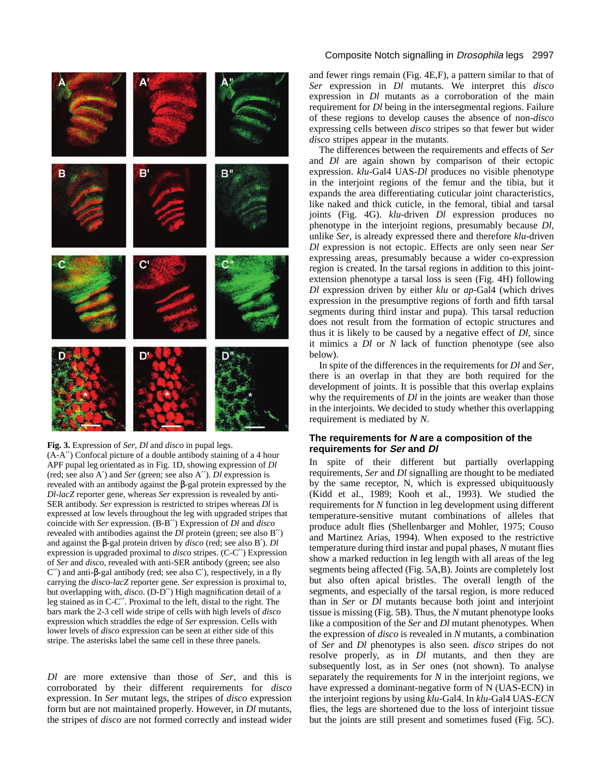

#### **Fig. 3.** Expression of *Ser*, *Dl* and *disco* in pupal legs.

(A-A′′) Confocal picture of a double antibody staining of a 4 hour APF pupal leg orientated as in Fig. 1D, showing expression of *Dl* (red; see also A′) and *Ser* (green; see also A′′). *Dl* expression is revealed with an antibody against the β-gal protein expressed by the *Dl-lacZ* reporter gene, whereas *Ser* expression is revealed by anti-SER antibody. *Ser* expression is restricted to stripes whereas *Dl* is expressed at low levels throughout the leg with upgraded stripes that coincide with *Ser* expression. (B-B′′) Expression of *Dl* and *disco* revealed with antibodies against the *Dl* protein (green; see also B′′) and against the β-gal protein driven by *disco* (red; see also B′). *Dl* expression is upgraded proximal to *disco* stripes. (C-C′′) Expression of *Ser* and *disco*, revealed with anti-SER antibody (green; see also C′′) and anti-β-gal antibody (red; see also C′), respectively, in a fly carrying the *disco*-*lacZ* reporter gene. *Ser* expression is proximal to, but overlapping with, *disco*. (D-D′′) High magnification detail of a leg stained as in C-C′′. Proximal to the left, distal to the right. The bars mark the 2-3 cell wide stripe of cells with high levels of *disco* expression which straddles the edge of *Ser* expression. Cells with lower levels of *disco* expression can be seen at either side of this stripe. The asterisks label the same cell in these three panels.

*Dl* are more extensive than those of *Ser*, and this is corroborated by their different requirements for *disco* expression. In *Ser* mutant legs, the stripes of *disco* expression form but are not maintained properly. However, in *Dl* mutants, the stripes of *disco* are not formed correctly and instead wider

## Composite Notch signalling in Drosophila legs 2997

and fewer rings remain (Fig. 4E,F), a pattern similar to that of *Ser* expression in *Dl* mutants. We interpret this *disco* expression in *Dl* mutants as a corroboration of the main requirement for *Dl* being in the intersegmental regions. Failure of these regions to develop causes the absence of non-*disco* expressing cells between *disco* stripes so that fewer but wider *disco* stripes appear in the mutants.

The differences between the requirements and effects of *Ser* and *Dl* are again shown by comparison of their ectopic expression. *klu*-Gal4 UAS-*Dl* produces no visible phenotype in the interjoint regions of the femur and the tibia, but it expands the area differentiating cuticular joint characteristics, like naked and thick cuticle, in the femoral, tibial and tarsal joints (Fig. 4G). *klu*-driven *Dl* expression produces no phenotype in the interjoint regions, presumably because *Dl*, unlike *Ser*, is already expressed there and therefore *klu*-driven *Dl* expression is not ectopic. Effects are only seen near *Ser* expressing areas, presumably because a wider co-expression region is created. In the tarsal regions in addition to this jointextension phenotype a tarsal loss is seen (Fig. 4H) following *Dl* expression driven by either *klu* or *ap*-Gal4 (which drives expression in the presumptive regions of forth and fifth tarsal segments during third instar and pupa). This tarsal reduction does not result from the formation of ectopic structures and thus it is likely to be caused by a negative effect of *Dl*, since it mimics a *Dl* or *N* lack of function phenotype (see also below).

In spite of the differences in the requirements for *Dl* and *Ser*, there is an overlap in that they are both required for the development of joints. It is possible that this overlap explains why the requirements of *Dl* in the joints are weaker than those in the interjoints. We decided to study whether this overlapping requirement is mediated by *N*.

## **The requirements for N are a composition of the requirements for Ser and Dl**

In spite of their different but partially overlapping requirements, *Ser* and *Dl* signalling are thought to be mediated by the same receptor, N, which is expressed ubiquituously (Kidd et al., 1989; Kooh et al., 1993). We studied the requirements for *N* function in leg development using different temperature-sensitive mutant combinations of alleles that produce adult flies (Shellenbarger and Mohler, 1975; Couso and Martinez Arias, 1994). When exposed to the restrictive temperature during third instar and pupal phases, *N* mutant flies show a marked reduction in leg length with all areas of the leg segments being affected (Fig. 5A,B). Joints are completely lost but also often apical bristles. The overall length of the segments, and especially of the tarsal region, is more reduced than in *Ser* or *Dl* mutants because both joint and interjoint tissue is missing (Fig. 5B). Thus, the *N* mutant phenotype looks like a composition of the *Ser* and *Dl* mutant phenotypes. When the expression of *disco* is revealed in *N* mutants, a combination of *Ser* and *Dl* phenotypes is also seen. *disco* stripes do not resolve properly, as in *Dl* mutants, and then they are subsequently lost, as in *Ser* ones (not shown). To analyse separately the requirements for *N* in the interjoint regions, we have expressed a dominant-negative form of N (UAS-ECN) in the interjoint regions by using *klu*-Gal4. In *klu*-Gal4 UAS-*ECN* flies, the legs are shortened due to the loss of interjoint tissue but the joints are still present and sometimes fused (Fig. 5C).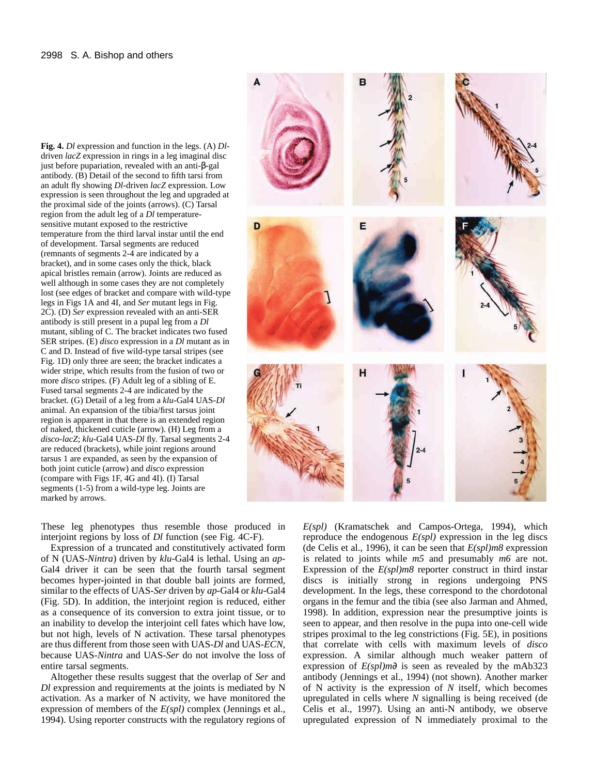**Fig. 4.** *Dl* expression and function in the legs. (A) *Dl*driven *lacZ* expression in rings in a leg imaginal disc just before pupariation, revealed with an anti-β-gal antibody. (B) Detail of the second to fifth tarsi from an adult fly showing *Dl*-driven *lacZ* expression. Low expression is seen throughout the leg and upgraded at the proximal side of the joints (arrows). (C) Tarsal region from the adult leg of a *Dl* temperaturesensitive mutant exposed to the restrictive temperature from the third larval instar until the end of development. Tarsal segments are reduced (remnants of segments 2-4 are indicated by a bracket), and in some cases only the thick, black apical bristles remain (arrow). Joints are reduced as well although in some cases they are not completely lost (see edges of bracket and compare with wild-type legs in Figs 1A and 4I, and *Ser* mutant legs in Fig. 2C). (D) *Ser* expression revealed with an anti-SER antibody is still present in a pupal leg from a *Dl* mutant, sibling of C. The bracket indicates two fused SER stripes. (E) *disco* expression in a *Dl* mutant as in C and D. Instead of five wild-type tarsal stripes (see Fig. 1D) only three are seen; the bracket indicates a wider stripe, which results from the fusion of two or more *disco* stripes. (F) Adult leg of a sibling of E. Fused tarsal segments 2-4 are indicated by the bracket. (G) Detail of a leg from a *klu*-Gal4 UAS-*Dl* animal. An expansion of the tibia/first tarsus joint region is apparent in that there is an extended region of naked, thickened cuticle (arrow). (H) Leg from a *disco-lacZ*; *klu*-Gal4 UAS-*Dl* fly. Tarsal segments 2-4 are reduced (brackets), while joint regions around tarsus 1 are expanded, as seen by the expansion of both joint cuticle (arrow) and *disco* expression (compare with Figs 1F, 4G and 4I). (I) Tarsal segments (1-5) from a wild-type leg. Joints are marked by arrows.

These leg phenotypes thus resemble those produced in interjoint regions by loss of *Dl* function (see Fig. 4C-F).

Expression of a truncated and constitutively activated form of N (UAS-*Nintra*) driven by *klu-*Gal4 is lethal. Using an *ap*-Gal4 driver it can be seen that the fourth tarsal segment becomes hyper-jointed in that double ball joints are formed, similar to the effects of UAS-*Ser* driven by *ap*-Gal4 or *klu*-Gal4 (Fig. 5D). In addition, the interjoint region is reduced, either as a consequence of its conversion to extra joint tissue, or to an inability to develop the interjoint cell fates which have low, but not high, levels of N activation. These tarsal phenotypes are thus different from those seen with UAS-*Dl* and UAS-*ECN*, because UAS-*Nintra* and UAS-*Ser* do not involve the loss of entire tarsal segments.

Altogether these results suggest that the overlap of *Ser* and *Dl* expression and requirements at the joints is mediated by N activation. As a marker of N activity, we have monitored the expression of members of the *E(spl)* complex (Jennings et al., 1994). Using reporter constructs with the regulatory regions of



*E(spl)* (Kramatschek and Campos-Ortega, 1994), which reproduce the endogenous *E(spl)* expression in the leg discs (de Celis et al., 1996), it can be seen that *E(spl)m8* expression is related to joints while *m5* and presumably *m6* are not. Expression of the  $E(spl)m8$  reporter construct in third instar discs is initially strong in regions undergoing PNS development. In the legs, these correspond to the chordotonal organs in the femur and the tibia (see also Jarman and Ahmed, 1998). In addition, expression near the presumptive joints is seen to appear, and then resolve in the pupa into one-cell wide stripes proximal to the leg constrictions (Fig. 5E), in positions that correlate with cells with maximum levels of *disco* expression. A similar although much weaker pattern of expression of *E(spl)m*∂ is seen as revealed by the mAb323 antibody (Jennings et al., 1994) (not shown). Another marker of N activity is the expression of *N* itself, which becomes upregulated in cells where *N* signalling is being received (de Celis et al., 1997). Using an anti-N antibody, we observe upregulated expression of N immediately proximal to the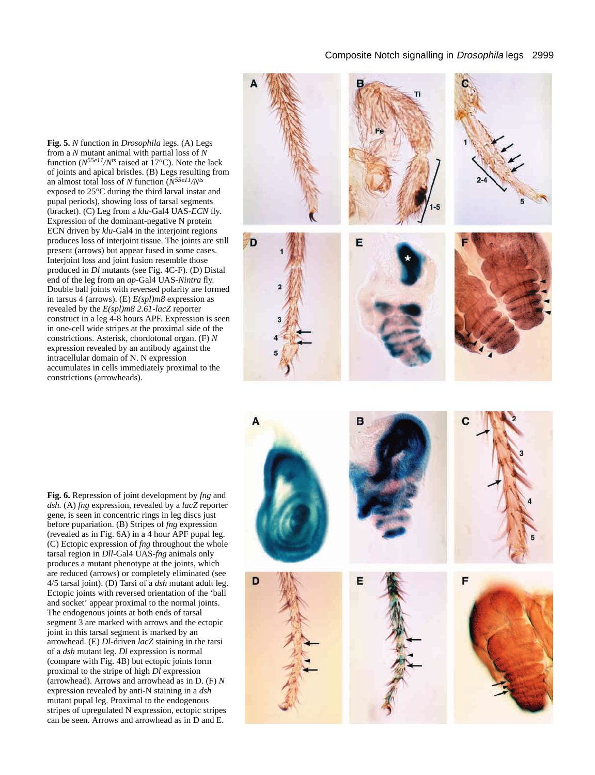## Composite Notch signalling in Drosophila legs 2999

**Fig. 5.** *N* function in *Drosophila* legs. (A) Legs from a *N* mutant animal with partial loss of *N* function ( $N^{55e11}/N^{ts}$  raised at 17<sup>o</sup>C). Note the lack of joints and apical bristles. (B) Legs resulting from an almost total loss of *N* function (*N55e11/Nts* exposed to 25°C during the third larval instar and pupal periods), showing loss of tarsal segments (bracket). (C) Leg from a *klu*-Gal4 UAS-*ECN* fly. Expression of the dominant-negative N protein ECN driven by *klu*-Gal4 in the interjoint regions produces loss of interjoint tissue. The joints are still present (arrows) but appear fused in some cases. Interjoint loss and joint fusion resemble those produced in *Dl* mutants (see Fig. 4C-F). (D) Distal end of the leg from an *ap*-Gal4 UAS-*Nintra* fly. Double ball joints with reversed polarity are formed in tarsus 4 (arrows). (E) *E(spl)m8* expression as revealed by the *E(spl)m8 2.61-lacZ* reporter construct in a leg 4-8 hours APF. Expression is seen in one-cell wide stripes at the proximal side of the constrictions. Asterisk, chordotonal organ. (F) *N* expression revealed by an antibody against the intracellular domain of N. N expression accumulates in cells immediately proximal to the constrictions (arrowheads).



**Fig. 6.** Repression of joint development by *fng* and *dsh.* (A) *fng* expression, revealed by a *lacZ* reporter gene, is seen in concentric rings in leg discs just before pupariation. (B) Stripes of *fng* expression (revealed as in Fig. 6A) in a 4 hour APF pupal leg. (C) Ectopic expression of *fng* throughout the whole tarsal region in *Dll*-Gal4 UAS-*fng* animals only produces a mutant phenotype at the joints, which are reduced (arrows) or completely eliminated (see 4/5 tarsal joint). (D) Tarsi of a *dsh* mutant adult leg. Ectopic joints with reversed orientation of the 'ball and socket' appear proximal to the normal joints. The endogenous joints at both ends of tarsal segment 3 are marked with arrows and the ectopic joint in this tarsal segment is marked by an arrowhead. (E) *Dl*-driven *lacZ* staining in the tarsi of a *dsh* mutant leg. *Dl* expression is normal (compare with Fig. 4B) but ectopic joints form proximal to the stripe of high *Dl* expression (arrowhead). Arrows and arrowhead as in D. (F) *N* expression revealed by anti-N staining in a *dsh* mutant pupal leg. Proximal to the endogenous stripes of upregulated N expression, ectopic stripes can be seen. Arrows and arrowhead as in D and E.

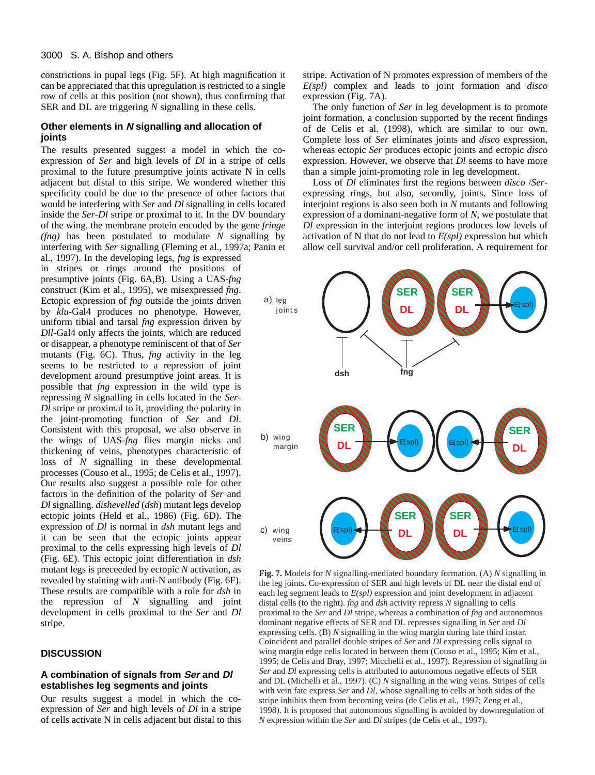#### 3000 S. A. Bishop and others

constrictions in pupal legs (Fig. 5F). At high magnification it can be appreciated that this upregulation is restricted to a single row of cells at this position (not shown), thus confirming that SER and DL are triggering *N* signalling in these cells.

#### **Other elements in N signalling and allocation of joints**

The results presented suggest a model in which the coexpression of *Ser* and high levels of *Dl* in a stripe of cells proximal to the future presumptive joints activate N in cells adjacent but distal to this stripe. We wondered whether this specificity could be due to the presence of other factors that would be interfering with *Ser* and *Dl* signalling in cells located inside the *Ser*-*Dl* stripe or proximal to it. In the DV boundary of the wing, the membrane protein encoded by the gene *fringe (fng)* has been postulated to modulate *N* signalling by interfering with *Ser* signalling (Fleming et al., 1997a; Panin et

al., 1997). In the developing legs, *fng* is expressed in stripes or rings around the positions of presumptive joints (Fig. 6A,B). Using a UAS-*fng* construct (Kim et al., 1995), we misexpressed *fng*. Ectopic expression of *fng* outside the joints driven by *klu*-Gal4 produces no phenotype. However, uniform tibial and tarsal *fng* expression driven by *Dll*-Gal4 only affects the joints, which are reduced or disappear, a phenotype reminiscent of that of *Ser* mutants (Fig. 6C). Thus, *fng* activity in the leg seems to be restricted to a repression of joint development around presumptive joint areas*.* It is possible that *fng* expression in the wild type is repressing *N* signalling in cells located in the *Ser*-*Dl* stripe or proximal to it, providing the polarity in the joint-promoting function of *Ser* and *Dl*. Consistent with this proposal, we also observe in the wings of UAS-*fng* flies margin nicks and thickening of veins, phenotypes characteristic of loss of *N* signalling in these developmental processes (Couso et al., 1995; de Celis et al., 1997). Our results also suggest a possible role for other factors in the definition of the polarity of *Ser* and *Dl* signalling. *dishevelled* (*dsh*) mutant legs develop ectopic joints (Held et al., 1986) (Fig. 6D). The expression of *Dl* is normal in *dsh* mutant legs and it can be seen that the ectopic joints appear proximal to the cells expressing high levels of *Dl* (Fig. 6E). This ectopic joint differentiation in *dsh* mutant legs is preceeded by ectopic *N* activation, as revealed by staining with anti-N antibody (Fig. 6F). These results are compatible with a role for *dsh* in the repression of *N* signalling and joint development in cells proximal to the *Ser* and *Dl* stripe.

## **DISCUSSION**

#### **A combination of signals from Ser and Dl establishes leg segments and joints**

Our results suggest a model in which the coexpression of *Ser* and high levels of *Dl* in a stripe of cells activate N in cells adjacent but distal to this stripe. Activation of N promotes expression of members of the *E(spl)* complex and leads to joint formation and *disco* expression (Fig. 7A).

The only function of *Ser* in leg development is to promote joint formation, a conclusion supported by the recent findings of de Celis et al. (1998), which are similar to our own. Complete loss of *Ser* eliminates joints and *disco* expression, whereas ectopic *Ser* produces ectopic joints and ectopic *disco* expression. However, we observe that *Dl* seems to have more than a simple joint-promoting role in leg development.

Loss of *Dl* eliminates first the regions between *disco* /*Ser*expressing rings, but also, secondly, joints. Since loss of interjoint regions is also seen both in *N* mutants and following expression of a dominant-negative form of *N*, we postulate that *Dl* expression in the interjoint regions produces low levels of activation of N that do not lead to *E(spl)* expression but which allow cell survival and/or cell proliferation. A requirement for



**Fig. 7.** Models for *N* signalling-mediated boundary formation. (A) *N* signalling in the leg joints. Co-expression of SER and high levels of DL near the distal end of each leg segment leads to *E(spl)* expression and joint development in adjacent distal cells (to the right). *fng* and *dsh* activity repress *N* signalling to cells proximal to the *Ser* and *Dl* stripe, whereas a combination of *fng* and autonomous dominant negative effects of SER and DL represses signalling in *Ser* and *Dl* expressing cells. (B) *N* signalling in the wing margin during late third instar. Coincident and parallel double stripes of *Ser* and *Dl* expressing cells signal to wing margin edge cells located in between them (Couso et al., 1995; Kim et al., 1995; de Celis and Bray, 1997; Micchelli et al., 1997). Repression of signalling in *Ser* and *Dl* expressing cells is attributed to autonomous negative effects of SER and DL (Michelli et al., 1997). (C) *N* signalling in the wing veins. Stripes of cells with vein fate express *Ser* and *Dl*, whose signalling to cells at both sides of the stripe inhibits them from becoming veins (de Celis et al., 1997; Zeng et al., 1998). It is proposed that autonomous signalling is avoided by downregulation of *N* expression within the *Ser* and *Dl* stripes (de Celis et al., 1997).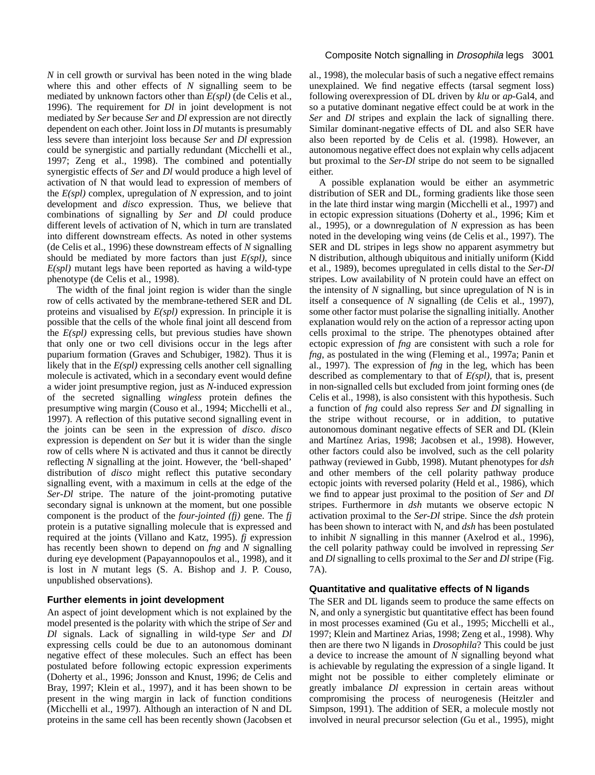*N* in cell growth or survival has been noted in the wing blade where this and other effects of *N* signalling seem to be mediated by unknown factors other than *E(spl)* (de Celis et al., 1996). The requirement for *Dl* in joint development is not mediated by *Ser* because *Ser* and *Dl* expression are not directly dependent on each other. Joint loss in *Dl* mutants is presumably less severe than interjoint loss because *Ser* and *Dl* expression could be synergistic and partially redundant (Micchelli et al., 1997; Zeng et al., 1998). The combined and potentially synergistic effects of *Ser* and *Dl* would produce a high level of activation of N that would lead to expression of members of the *E(spl)* complex, upregulation of *N* expression, and to joint development and *disco* expression. Thus, we believe that combinations of signalling by *Ser* and *Dl* could produce different levels of activation of N, which in turn are translated into different downstream effects. As noted in other systems (de Celis et al., 1996) these downstream effects of *N* signalling should be mediated by more factors than just *E(spl),* since *E(spl)* mutant legs have been reported as having a wild-type phenotype (de Celis et al., 1998).

The width of the final joint region is wider than the single row of cells activated by the membrane-tethered SER and DL proteins and visualised by *E(spl)* expression. In principle it is possible that the cells of the whole final joint all descend from the *E(spl)* expressing cells, but previous studies have shown that only one or two cell divisions occur in the legs after puparium formation (Graves and Schubiger, 1982). Thus it is likely that in the *E(spl)* expressing cells another cell signalling molecule is activated, which in a secondary event would define a wider joint presumptive region, just as *N*-induced expression of the secreted signalling *wingless* protein defines the presumptive wing margin (Couso et al., 1994; Micchelli et al., 1997). A reflection of this putative second signalling event in the joints can be seen in the expression of *disco*. *disco* expression is dependent on *Ser* but it is wider than the single row of cells where N is activated and thus it cannot be directly reflecting *N* signalling at the joint. However, the 'bell-shaped' distribution of *disco* might reflect this putative secondary signalling event, with a maximum in cells at the edge of the *Ser*-*Dl* stripe. The nature of the joint-promoting putative secondary signal is unknown at the moment, but one possible component is the product of the *four-jointed (fj)* gene. The *fj* protein is a putative signalling molecule that is expressed and required at the joints (Villano and Katz, 1995). *fj* expression has recently been shown to depend on *fng* and *N* signalling during eye development (Papayannopoulos et al., 1998), and it is lost in *N* mutant legs (S. A. Bishop and J. P. Couso, unpublished observations).

# **Further elements in joint development**

An aspect of joint development which is not explained by the model presented is the polarity with which the stripe of *Ser* and *Dl* signals. Lack of signalling in wild-type *Ser* and *Dl* expressing cells could be due to an autonomous dominant negative effect of these molecules. Such an effect has been postulated before following ectopic expression experiments (Doherty et al., 1996; Jonsson and Knust, 1996; de Celis and Bray, 1997; Klein et al., 1997), and it has been shown to be present in the wing margin in lack of function conditions (Micchelli et al., 1997). Although an interaction of N and DL proteins in the same cell has been recently shown (Jacobsen et

# Composite Notch signalling in Drosophila legs 3001

al., 1998), the molecular basis of such a negative effect remains unexplained. We find negative effects (tarsal segment loss) following overexpression of DL driven by *klu* or *ap*-Gal4, and so a putative dominant negative effect could be at work in the *Ser* and *Dl* stripes and explain the lack of signalling there. Similar dominant-negative effects of DL and also SER have also been reported by de Celis et al. (1998). However, an autonomous negative effect does not explain why cells adjacent but proximal to the *Ser-Dl* stripe do not seem to be signalled either.

A possible explanation would be either an asymmetric distribution of SER and DL, forming gradients like those seen in the late third instar wing margin (Micchelli et al., 1997) and in ectopic expression situations (Doherty et al., 1996; Kim et al., 1995), or a downregulation of *N* expression as has been noted in the developing wing veins (de Celis et al., 1997). The SER and DL stripes in legs show no apparent asymmetry but N distribution, although ubiquitous and initially uniform (Kidd et al., 1989), becomes upregulated in cells distal to the *Ser-Dl* stripes. Low availability of N protein could have an effect on the intensity of *N* signalling, but since upregulation of N is in itself a consequence of *N* signalling (de Celis et al., 1997), some other factor must polarise the signalling initially. Another explanation would rely on the action of a repressor acting upon cells proximal to the stripe. The phenotypes obtained after ectopic expression of *fng* are consistent with such a role for *fng*, as postulated in the wing (Fleming et al., 1997a; Panin et al., 1997). The expression of *fng* in the leg, which has been described as complementary to that of *E(spl),* that is, present in non-signalled cells but excluded from joint forming ones (de Celis et al., 1998), is also consistent with this hypothesis. Such a function of *fng* could also repress *Ser* and *Dl* signalling in the stripe without recourse, or in addition, to putative autonomous dominant negative effects of SER and DL (Klein and Martínez Arias, 1998; Jacobsen et al., 1998). However, other factors could also be involved, such as the cell polarity pathway (reviewed in Gubb, 1998). Mutant phenotypes for *dsh* and other members of the cell polarity pathway produce ectopic joints with reversed polarity (Held et al., 1986), which we find to appear just proximal to the position of *Ser* and *Dl* stripes. Furthermore in *dsh* mutants we observe ectopic N activation proximal to the *Ser-Dl* stripe. Since the *dsh* protein has been shown to interact with N, and *dsh* has been postulated to inhibit *N* signalling in this manner (Axelrod et al., 1996), the cell polarity pathway could be involved in repressing *Ser* and *Dl* signalling to cells proximal to the *Ser* and *Dl* stripe (Fig. 7A).

## **Quantitative and qualitative effects of N ligands**

The SER and DL ligands seem to produce the same effects on N, and only a synergistic but quantitative effect has been found in most processes examined (Gu et al., 1995; Micchelli et al., 1997; Klein and Martinez Arias, 1998; Zeng et al., 1998). Why then are there two N ligands in *Drosophila*? This could be just a device to increase the amount of *N* signalling beyond what is achievable by regulating the expression of a single ligand. It might not be possible to either completely eliminate or greatly imbalance *Dl* expression in certain areas without compromising the process of neurogenesis (Heitzler and Simpson, 1991). The addition of SER, a molecule mostly not involved in neural precursor selection (Gu et al., 1995), might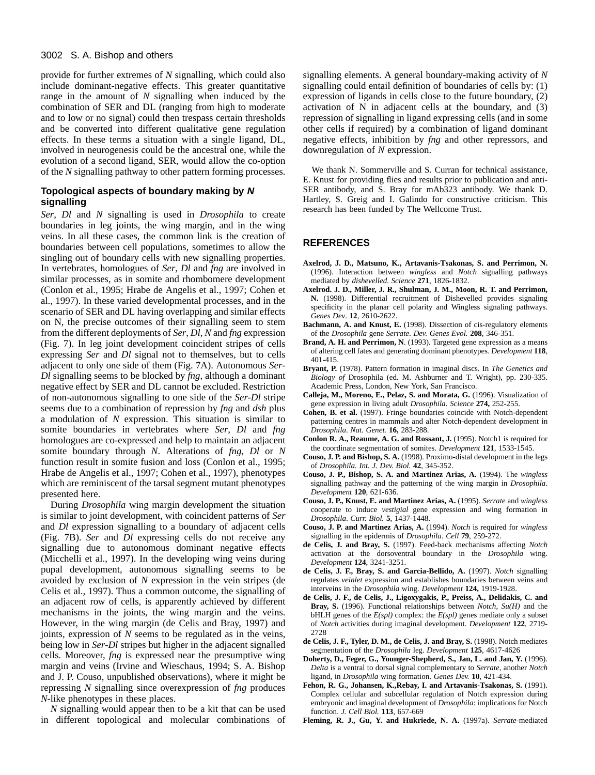#### 3002 S. A. Bishop and others

provide for further extremes of *N* signalling, which could also include dominant-negative effects. This greater quantitative range in the amount of *N* signalling when induced by the combination of SER and DL (ranging from high to moderate and to low or no signal) could then trespass certain thresholds and be converted into different qualitative gene regulation effects. In these terms a situation with a single ligand, DL, involved in neurogenesis could be the ancestral one, while the evolution of a second ligand, SER*,* would allow the co-option of the *N* signalling pathway to other pattern forming processes.

## **Topological aspects of boundary making by N signalling**

*Ser*, *Dl* and *N* signalling is used in *Drosophila* to create boundaries in leg joints, the wing margin, and in the wing veins. In all these cases, the common link is the creation of boundaries between cell populations, sometimes to allow the singling out of boundary cells with new signalling properties. In vertebrates, homologues of *Ser*, *Dl* and *fng* are involved in similar processes, as in somite and rhombomere development (Conlon et al., 1995; Hrabe de Angelis et al., 1997; Cohen et al., 1997). In these varied developmental processes, and in the scenario of SER and DL having overlapping and similar effects on N, the precise outcomes of their signalling seem to stem from the different deployments of *Ser*, *Dl*, *N* and *fng* expression (Fig. 7). In leg joint development coincident stripes of cells expressing *Ser* and *Dl* signal not to themselves, but to cells adjacent to only one side of them (Fig. 7A). Autonomous *Ser*-*Dl* signalling seems to be blocked by *fng*, although a dominant negative effect by SER and DL cannot be excluded. Restriction of non-autonomous signalling to one side of the *Ser-Dl* stripe seems due to a combination of repression by *fng* and *dsh* plus a modulation of *N* expression. This situation is similar to somite boundaries in vertebrates where *Ser*, *Dl* and *fng* homologues are co-expressed and help to maintain an adjacent somite boundary through *N*. Alterations of *fng*, *Dl* or *N* function result in somite fusion and loss (Conlon et al., 1995; Hrabe de Angelis et al., 1997; Cohen et al., 1997), phenotypes which are reminiscent of the tarsal segment mutant phenotypes presented here.

During *Drosophila* wing margin development the situation is similar to joint development, with coincident patterns of *Ser* and *Dl* expression signalling to a boundary of adjacent cells (Fig. 7B). *Ser* and *Dl* expressing cells do not receive any signalling due to autonomous dominant negative effects (Micchelli et al., 1997). In the developing wing veins during pupal development, autonomous signalling seems to be avoided by exclusion of *N* expression in the vein stripes (de Celis et al., 1997). Thus a common outcome, the signalling of an adjacent row of cells, is apparently achieved by different mechanisms in the joints, the wing margin and the veins. However, in the wing margin (de Celis and Bray, 1997) and joints, expression of *N* seems to be regulated as in the veins, being low in *Ser*-*Dl* stripes but higher in the adjacent signalled cells. Moreover, *fng* is expressed near the presumptive wing margin and veins (Irvine and Wieschaus, 1994; S. A. Bishop and J. P. Couso, unpublished observations), where it might be repressing *N* signalling since overexpression of *fng* produces *N*-like phenotypes in these places.

*N* signalling would appear then to be a kit that can be used in different topological and molecular combinations of signalling elements. A general boundary-making activity of *N* signalling could entail definition of boundaries of cells by: (1) expression of ligands in cells close to the future boundary, (2) activation of N in adjacent cells at the boundary, and (3) repression of signalling in ligand expressing cells (and in some other cells if required) by a combination of ligand dominant negative effects, inhibition by *fng* and other repressors, and downregulation of *N* expression.

We thank N. Sommerville and S. Curran for technical assistance, E. Knust for providing flies and results prior to publication and anti-SER antibody, and S. Bray for mAb323 antibody. We thank D. Hartley, S. Greig and I. Galindo for constructive criticism. This research has been funded by The Wellcome Trust.

#### **REFERENCES**

- **Axelrod, J. D., Matsuno, K., Artavanis-Tsakonas, S. and Perrimon, N.** (1996). Interaction between *wingless* and *Notch* signalling pathways mediated by *dishevelled*. *Science* **271**, 1826-1832.
- **Axelrod. J. D., Miller, J. R., Shulman, J. M., Moon, R. T. and Perrimon, N.** (1998). Differential recruitment of Dishevelled provides signaling specificity in the planar cell polarity and Wingless signaling pathways. *Genes Dev*. **12**, 2610-2622.
- Bachmann, A. and Knust, E. (1998). Dissection of cis-regulatory elements of the *Drosophila* gene *Serrate*. *Dev. Genes Evol.* **208**, 346-351.
- **Brand, A. H. and Perrimon, N**. (1993). Targeted gene expression as a means of altering cell fates and generating dominant phenotypes. *Development* **118**, 401-415.
- **Bryant, P.** (1978). Pattern formation in imaginal discs. In *The Genetics and Biology of* Drosophila (ed. M. Ashburner and T. Wright), pp. 230-335. Academic Press, London, New York, San Francisco.
- **Calleja, M., Moreno, E., Pelaz, S. and Morata, G.** (1996). Visualization of gene expression in living adult *Drosophila. Science* **274,** 252-255.
- **Cohen, B. et al.** (1997). Fringe boundaries coincide with Notch-dependent patterning centres in mammals and alter Notch-dependent development in *Drosophila*. *Nat. Genet.* **16,** 283-288.
- **Conlon R. A., Reaume, A. G. and Rossant, J.** (1995). Notch1 is required for the coordinate segmentation of somites. *Development* **121**, 1533-1545.
- **Couso, J. P. and Bishop, S. A.** (1998). Proximo-distal development in the legs of *Drosophila*. *Int. J. Dev. Biol.* **42**, 345-352.
- **Couso, J. P., Bishop, S. A. and Martinez Arias, A.** (1994). The *wingless* signalling pathway and the patterning of the wing margin in *Drosophila*. *Development* **120**, 621-636.
- **Couso, J. P., Knust, E. and Martinez Arias, A.** (1995). *Serrate* and *wingless* cooperate to induce *vestigial* gene expression and wing formation in *Drosophila*. *Curr. Biol.* **5**, 1437-1448.
- **Couso, J. P. and Martinez Arias, A.** (1994). *Notch* is required for *wingless* signalling in the epidermis of *Drosophila*. *Cell* **79**, 259-272.
- **de Celis, J. and Bray, S.** (1997). Feed-back mechanisms affecting *Notch* activation at the dorsoventral boundary in the *Drosophila* wing. *Development* **124**, 3241-3251.
- **de Celis, J. F., Bray, S. and Garcia-Bellido, A.** (1997). *Notch* signalling regulates *veinlet* expression and establishes boundaries between veins and interveins in the *Drosophila* wing. *Development* **124,** 1919-1928.
- **de Celis, J. F., de Celis, J., Ligoxygakis, P., Preiss, A., Delidakis, C. and Bray, S.** (1996). Functional relationships between *Notch*, *Su(H)* and the bHLH genes of the  $E(spl)$  complex: the  $E(spl)$  genes mediate only a subset of *Notch* activities during imaginal development. *Development* **122**, 2719- 2728
- **de Celis, J. F., Tyler, D. M., de Celis, J. and Bray, S.** (1998). Notch mediates segmentation of the *Drosophila* leg. *Development* **125**, 4617-4626
- **Doherty, D., Feger, G., Younger-Shepherd, S., Jan, L. and Jan, Y.** (1996). *Delta* is a ventral to dorsal signal complementary to *Serrate*, another *Notch* ligand, in *Drosophila* wing formation. *Genes Dev.* **10**, 421-434.
- **Fehon, R. G., Johansen, K.,Rebay, I. and Artavanis-Tsakonas, S.** (1991). Complex cellular and subcellular regulation of Notch expression during embryonic and imaginal development of *Drosophila*: implications for Notch function. *J. Cell Biol.* **113**, 657-669
- **Fleming, R. J., Gu, Y. and Hukriede, N. A.** (1997a). *Serrate*-mediated